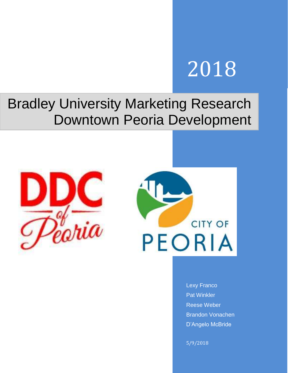# 2018

# Bradley University Marketing Research Downtown Peoria Development





Lexy Franco Pat Winkler Reese Weber Brandon Vonachen D'Angelo McBride

5/9/2018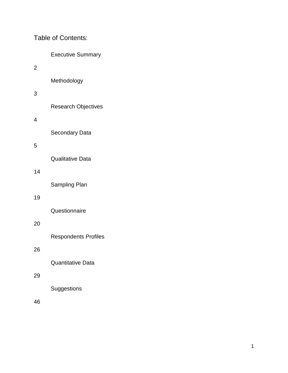Table of Contents:

| <b>Executive Summary</b> |  |
|--------------------------|--|
|--------------------------|--|

2

Methodology

# 3

Research Objectives

4

Secondary Data

# 5

Qualitative Data

# 14

Sampling Plan

# 19

**Questionnaire** 

# 20

Respondents Profiles

# 26

Quantitative Data

# 29

**Suggestions** 

46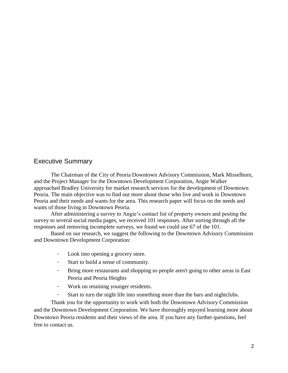#### Executive Summary

The Chairman of the City of Peoria Downtown Advisory Commission, Mark Misselhorn, and the Project Manager for the Downtown Development Corporation, Angie Walker approached Bradley University for market research services for the development of Downtown Peoria. The main objective was to find out more about those who live and work in Downtown Peoria and their needs and wants for the area. This research paper will focus on the needs and wants of those living in Downtown Peoria.

After administering a survey to Angie's contact list of property owners and posting the survey to several social media pages, we received 101 responses. After sorting through all the responses and removing incomplete surveys, we found we could use 67 of the 101.

Based on our research, we suggest the following to the Downtown Advisory Commission and Downtown Development Corporation:

- Look into opening a grocery store.
- Start to build a sense of community.
- Bring more restaurants and shopping so people aren't going to other areas in East Peoria and Peoria Heights
- Work on retaining younger residents.
- Start to turn the night life into something more than the bars and nightclubs.

Thank you for the opportunity to work with both the Downtown Advisory Commission and the Downtown Development Corporation. We have thoroughly enjoyed learning more about Downtown Peoria residents and their views of the area. If you have any further questions, feel free to contact us.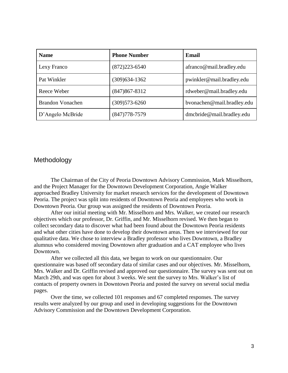| <b>Name</b>             | <b>Phone Number</b> | Email                      |
|-------------------------|---------------------|----------------------------|
| Lexy Franco             | $(872)223 - 6540$   | afranco@mail.bradley.edu   |
| Pat Winkler             | $(309)634-1362$     | pwinkler@mail.bradley.edu  |
| Reece Weber             | $(847)867 - 8312$   | rdweber@mail.bradley.edu   |
| <b>Brandon Vonachen</b> | $(309)573 - 6260$   | bvonachen@mail.bradley.edu |
| D'Angelo McBride        | $(847)778 - 7579$   | dmcbride@mail.bradley.edu  |

#### Methodology

The Chairman of the City of Peoria Downtown Advisory Commission, Mark Misselhorn, and the Project Manager for the Downtown Development Corporation, Angie Walker approached Bradley University for market research services for the development of Downtown Peoria. The project was split into residents of Downtown Peoria and employees who work in Downtown Peoria. Our group was assigned the residents of Downtown Peoria.

After our initial meeting with Mr. Misselhorn and Mrs. Walker, we created our research objectives which our professor, Dr. Griffin, and Mr. Misselhorn revised. We then began to collect secondary data to discover what had been found about the Downtown Peoria residents and what other cities have done to develop their downtown areas. Then we interviewed for our qualitative data. We chose to interview a Bradley professor who lives Downtown, a Bradley alumnus who considered moving Downtown after graduation and a CAT employee who lives Downtown.

After we collected all this data, we began to work on our questionnaire. Our questionnaire was based off secondary data of similar cases and our objectives. Mr. Misselhorn, Mrs. Walker and Dr. Griffin revised and approved our questionnaire. The survey was sent out on March 29th, and was open for about 3 weeks. We sent the survey to Mrs. Walker's list of contacts of property owners in Downtown Peoria and posted the survey on several social media pages.

Over the time, we collected 101 responses and 67 completed responses. The survey results were analyzed by our group and used in developing suggestions for the Downtown Advisory Commission and the Downtown Development Corporation.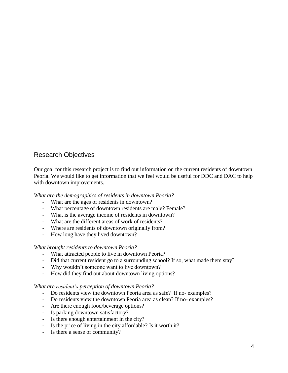# Research Objectives

Our goal for this research project is to find out information on the current residents of downtown Peoria. We would like to get information that we feel would be useful for DDC and DAC to help with downtown improvements.

*What are the demographics of residents in downtown Peoria?*

- What are the ages of residents in downtown?
- What percentage of downtown residents are male? Female?
- What is the average income of residents in downtown?
- What are the different areas of work of residents?
- Where are residents of downtown originally from?
- How long have they lived downtown?

#### *What brought residents to downtown Peoria?*

- What attracted people to live in downtown Peoria?
- Did that current resident go to a surrounding school? If so, what made them stay?
- Why wouldn't someone want to live downtown?
- How did they find out about downtown living options?

#### *What are resident's perception of downtown Peoria?*

- Do residents view the downtown Peoria area as safe? If no- examples?
- Do residents view the downtown Peoria area as clean? If no- examples?
- Are there enough food/beverage options?
- Is parking downtown satisfactory?
- Is there enough entertainment in the city?
- Is the price of living in the city affordable? Is it worth it?
- Is there a sense of community?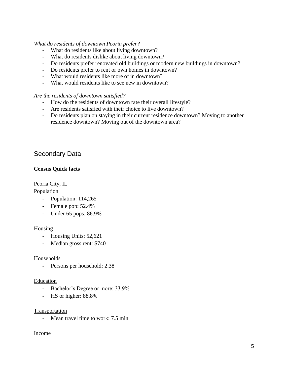#### *What do residents of downtown Peoria prefer?*

- What do residents like about living downtown?
- What do residents dislike about living downtown?
- Do residents prefer renovated old buildings or modern new buildings in downtown?
- Do residents prefer to rent or own homes in downtown?
- What would residents like more of in downtown?
- What would residents like to see new in downtown?

#### *Are the residents of downtown satisfied?*

- How do the residents of downtown rate their overall lifestyle?
- Are residents satisfied with their choice to live downtown?
- Do residents plan on staying in their current residence downtown? Moving to another residence downtown? Moving out of the downtown area?

# Secondary Data

#### **Census Quick facts**

Peoria City, IL

#### Population

- Population: 114,265
- Female pop: 52.4%
- Under 65 pops: 86.9%

#### Housing

- Housing Units: 52,621
- Median gross rent: \$740

#### Households

- Persons per household: 2.38

#### Education

- Bachelor's Degree or more: 33.9%
- HS or higher: 88.8%

#### Transportation

Mean travel time to work: 7.5 min

#### Income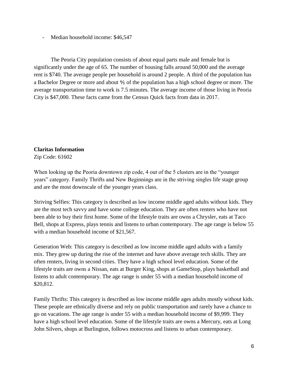Median household income: \$46,547

The Peoria City population consists of about equal parts male and female but is significantly under the age of 65. The number of housing falls around 50,000 and the average rent is \$740. The average people per household is around 2 people. A third of the population has a Bachelor Degree or more and about ⅘ of the population has a high school degree or more. The average transportation time to work is 7.5 minutes. The average income of those living in Peoria City is \$47,000. These facts came from the Census Quick facts from data in 2017.

# **Claritas Information**

Zip Code: 61602

When looking up the Peoria downtown zip code, 4 out of the 5 clusters are in the "younger" years" category. Family Thrifts and New Beginnings are in the striving singles life stage group and are the most downscale of the younger years class.

Striving Selfies: This category is described as low income middle aged adults without kids. They are the most tech savvy and have some college education. They are often renters who have not been able to buy their first home. Some of the lifestyle traits are owns a Chrysler, eats at Taco Bell, shops at Express, plays tennis and listens to urban contemporary. The age range is below 55 with a median household income of \$21,567.

Generation Web: This category is described as low income middle aged adults with a family mix. They grew up during the rise of the internet and have above average tech skills. They are often renters, living in second cities. They have a high school level education. Some of the lifestyle traits are owns a Nissan, eats at Burger King, shops at GameStop, plays basketball and listens to adult contemporary. The age range is under 55 with a median household income of \$20,812.

Family Thrifts: This category is described as low income middle ages adults mostly without kids. These people are ethnically diverse and rely on public transportation and rarely have a chance to go on vacations. The age range is under 55 with a median household income of \$9,999. They have a high school level education. Some of the lifestyle traits are owns a Mercury, eats at Long John Silvers, shops at Burlington, follows motocross and listens to urban contemporary.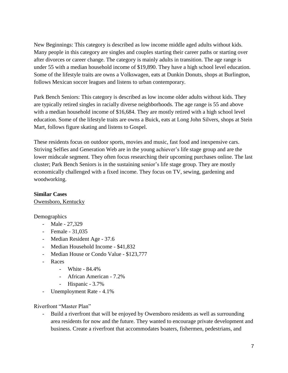New Beginnings: This category is described as low income middle aged adults without kids. Many people in this category are singles and couples starting their career paths or starting over after divorces or career change. The category is mainly adults in transition. The age range is under 55 with a median household income of \$19,890. They have a high school level education. Some of the lifestyle traits are owns a Volkswagen, eats at Dunkin Donuts, shops at Burlington, follows Mexican soccer leagues and listens to urban contemporary.

Park Bench Seniors: This category is described as low income older adults without kids. They are typically retired singles in racially diverse neighborhoods. The age range is 55 and above with a median household income of \$16,684. They are mostly retired with a high school level education. Some of the lifestyle traits are owns a Buick, eats at Long John Silvers, shops at Stein Mart, follows figure skating and listens to Gospel.

These residents focus on outdoor sports, movies and music, fast food and inexpensive cars. Striving Selfies and Generation Web are in the young achiever's life stage group and are the lower midscale segment. They often focus researching their upcoming purchases online. The last cluster; Park Bench Seniors is in the sustaining senior's life stage group. They are mostly economically challenged with a fixed income. They focus on TV, sewing, gardening and woodworking.

#### **Similar Cases**

Owensboro, Kentucky

Demographics

- Male 27,329
- Female 31,035
- Median Resident Age 37.6
- Median Household Income \$41,832
- Median House or Condo Value \$123,777
- Races
	- White 84.4%
	- African American 7.2%
	- Hispanic 3.7%
- Unemployment Rate 4.1%

Riverfront "Master Plan"

- Build a riverfront that will be enjoyed by Owensboro residents as well as surrounding area residents for now and the future. They wanted to encourage private development and business. Create a riverfront that accommodates boaters, fishermen, pedestrians, and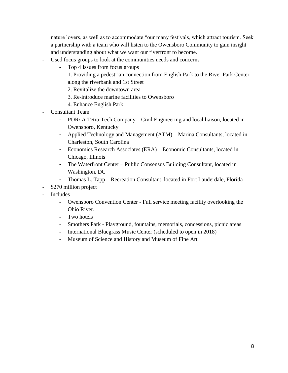nature lovers, as well as to accommodate "our many festivals, which attract tourism. Seek a partnership with a team who will listen to the Owensboro Community to gain insight and understanding about what we want our riverfront to become.

- Used focus groups to look at the communities needs and concerns
	- Top 4 Issues from focus groups
		- 1. Providing a pedestrian connection from English Park to the River Park Center along the riverbank and 1st Street
		- 2. Revitalize the downtown area
		- 3. Re-introduce marine facilities to Owensboro
		- 4. Enhance English Park
- Consultant Team
	- PDR/ A Tetra-Tech Company Civil Engineering and local liaison, located in Owensboro, Kentucky
	- Applied Technology and Management (ATM) Marina Consultants, located in Charleston, South Carolina
	- Economics Research Associates (ERA) Economic Consultants, located in Chicago, Illinois
	- The Waterfront Center Public Consensus Building Consultant, located in Washington, DC
	- Thomas L. Tapp Recreation Consultant, located in Fort Lauderdale, Florida
- \$270 million project
- **Includes** 
	- Owensboro Convention Center Full service meeting facility overlooking the Ohio River.
	- Two hotels
	- Smothers Park Playground, fountains, memorials, concessions, picnic areas
	- International Bluegrass Music Center (scheduled to open in 2018)
	- Museum of Science and History and Museum of Fine Art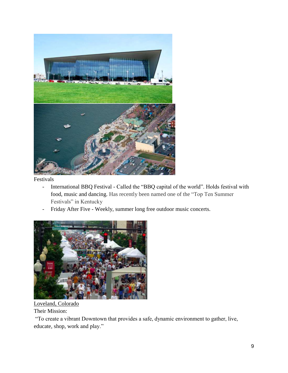

Festivals

- International BBQ Festival Called the "BBQ capital of the world". Holds festival with food, music and dancing. Has recently been named one of the "Top Ten Summer Festivals" in Kentucky
- Friday After Five Weekly, summer long free outdoor music concerts.



Loveland, Colorado Their Mission:

"To create a vibrant Downtown that provides a safe, dynamic environment to gather, live, educate, shop, work and play."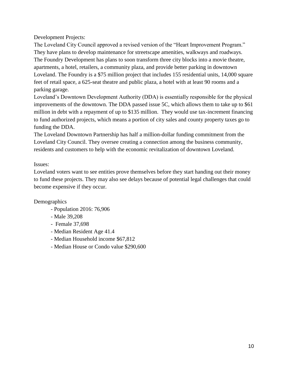Development Projects:

The Loveland City Council approved a revised version of the "Heart Improvement Program." They have plans to develop maintenance for streetscape amenities, walkways and roadways. The Foundry Development has plans to soon transform three city blocks into a movie theatre, apartments, a hotel, retailers, a community plaza, and provide better parking in downtown Loveland. The Foundry is a \$75 million project that includes 155 residential units, 14,000 square feet of retail space, a 625-seat theatre and public plaza, a hotel with at least 90 rooms and a parking garage.

Loveland's Downtown Development Authority (DDA) is essentially responsible for the physical improvements of the downtown. The DDA passed issue 5C, which allows them to take up to \$61 million in debt with a repayment of up to \$135 million. They would use tax-increment financing to fund authorized projects, which means a portion of city sales and county property taxes go to funding the DDA.

The Loveland Downtown Partnership has half a million-dollar funding commitment from the Loveland City Council. They oversee creating a connection among the business community, residents and customers to help with the economic revitalization of downtown Loveland.

#### Issues:

Loveland voters want to see entities prove themselves before they start handing out their money to fund these projects. They may also see delays because of potential legal challenges that could become expensive if they occur.

#### Demographics

- Population 2016: 76,906
- Male 39,208
- Female 37,698
- Median Resident Age 41.4
- Median Household income \$67,812
- Median House or Condo value \$290,600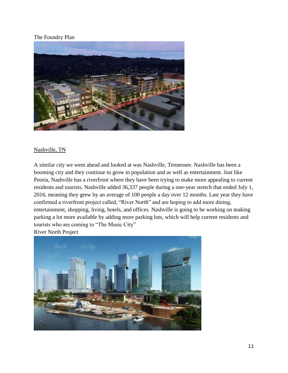#### The Foundry Plan



#### Nashville, TN

A similar city we went ahead and looked at was Nashville, Tennessee. Nashville has been a booming city and they continue to grow in population and as well as entertainment. Just like Peoria, Nashville has a riverfront where they have been trying to make more appealing to current residents and tourists. Nashville added 36,337 people during a one-year stretch that ended July 1, 2016, meaning they grew by an average of 100 people a day over 12 months. Last year they have confirmed a riverfront project called, "River North" and are hoping to add more dining, entertainment, shopping, living, hotels, and offices. Nashville is going to be working on making parking a lot more available by adding more parking lots, which will help current residents and tourists who are coming to "The Music City"

River North Project

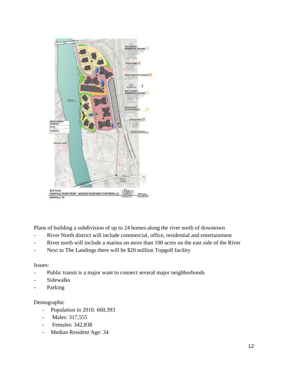

Plans of building a subdivision of up to 24 homes along the river north of downtown

- River North district will include commercial, office, residential and entertainment
- River north will include a marina on more than 100 acres on the east side of the River
- Next to The Landings there will be \$20 million Topgolf facility

#### Issues:

- Public transit is a major want to connect several major neighborhoods
- **Sidewalks**
- Parking

# Demographic

- Population in 2016: 660,393
- Males: 317,555
- Females: 342,838
- Median Resident Age: 34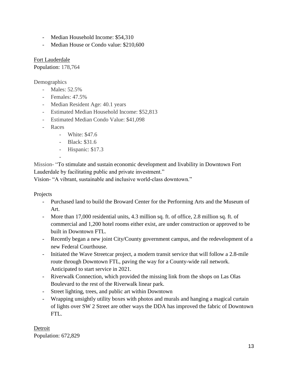- Median Household Income: \$54,310
- Median House or Condo value: \$210,600

Fort Lauderdale Population: 178,764

**Demographics** 

- Males: 52.5%
- Females: 47.5%
- Median Resident Age: 40.1 years
- Estimated Median Household Income: \$52,813
- Estimated Median Condo Value: \$41,098
- Races
	- White: \$47.6
	- Black: \$31.6
	- Hispanic: \$17.3

-

Mission- "To stimulate and sustain economic development and livability in Downtown Fort Lauderdale by facilitating public and private investment."

Vision- "A vibrant, sustainable and inclusive world-class downtown."

Projects

- Purchased land to build the Broward Center for the Performing Arts and the Museum of Art.
- More than 17,000 residential units, 4.3 million sq. ft. of office, 2.8 million sq. ft. of commercial and 1,200 hotel rooms either exist, are under construction or approved to be built in Downtown FTL.
- Recently began a new joint City/County government campus, and the redevelopment of a new Federal Courthouse.
- Initiated the Wave Streetcar project, a modern transit service that will follow a 2.8-mile route through Downtown FTL, paving the way for a County-wide rail network. Anticipated to start service in 2021.
- Riverwalk Connection, which provided the missing link from the shops on Las Olas Boulevard to the rest of the Riverwalk linear park.
- Street lighting, trees, and public art within Downtown
- Wrapping unsightly utility boxes with photos and murals and hanging a magical curtain of lights over SW 2 Street are other ways the DDA has improved the fabric of Downtown FTL.

Detroit Population: 672,829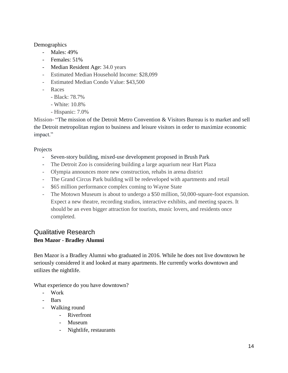#### Demographics

- Males: 49%
- Females: 51%
- Median Resident Age: 34.0 years
- Estimated Median Household Income: \$28,099
- Estimated Median Condo Value: \$43,500
- Races
	- Black: 78.7%
	- White: 10.8%
	- Hispanic: 7.0%

Mission- "The mission of the Detroit Metro Convention & Visitors Bureau is to market and sell the Detroit metropolitan region to business and leisure visitors in order to maximize economic impact."

#### Projects

- Seven-story building, mixed-use development proposed in Brush Park
- The Detroit Zoo is considering building a large aquarium near Hart Plaza
- Olympia announces more new construction, rehabs in arena district
- The Grand Circus Park building will be redeveloped with apartments and retail
- \$65 million performance complex coming to Wayne State
- The Motown Museum is about to undergo a \$50 million, 50,000-square-foot expansion. Expect a new theatre, recording studios, interactive exhibits, and meeting spaces. It should be an even bigger attraction for tourists, music lovers, and residents once completed.

# Qualitative Research **Ben Mazor - Bradley Alumni**

Ben Mazor is a Bradley Alumni who graduated in 2016. While he does not live downtown he seriously considered it and looked at many apartments. He currently works downtown and utilizes the nightlife.

What experience do you have downtown?

- Work
- Bars
- Walking round
	- Riverfront
	- Museum
	- Nightlife, restaurants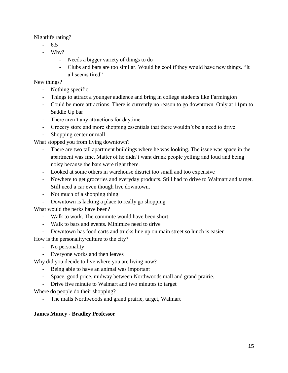Nightlife rating?

- 6.5
- Why?
	- Needs a bigger variety of things to do
	- Clubs and bars are too similar. Would be cool if they would have new things. "It all seems tired"

New things?

- Nothing specific
- Things to attract a younger audience and bring in college students like Farmington
- Could be more attractions. There is currently no reason to go downtown. Only at 11pm to Saddle Up bar
- There aren't any attractions for daytime
- Grocery store and more shopping essentials that there wouldn't be a need to drive
- Shopping center or mall

What stopped you from living downtown?

- There are two tall apartment buildings where he was looking. The issue was space in the apartment was fine. Matter of he didn't want drunk people yelling and loud and being noisy because the bars were right there.
- Looked at some others in warehouse district too small and too expensive
- Nowhere to get groceries and everyday products. Still had to drive to Walmart and target. Still need a car even though live downtown.
- Not much of a shopping thing
- Downtown is lacking a place to really go shopping.

What would the perks have been?

- Walk to work. The commute would have been short
- Walk to bars and events. Minimize need to drive
- Downtown has food carts and trucks line up on main street so lunch is easier

How is the personality/culture to the city?

- No personality
- Everyone works and then leaves

Why did you decide to live where you are living now?

- Being able to have an animal was important
- Space, good price, midway between Northwoods mall and grand prairie.
- Drive five minute to Walmart and two minutes to target

Where do people do their shopping?

- The malls Northwoods and grand prairie, target, Walmart

#### **James Muncy - Bradley Professor**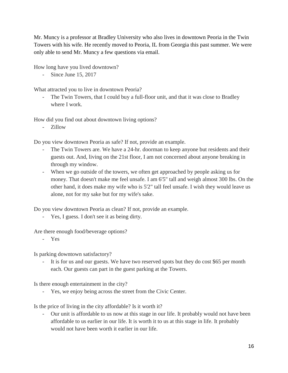Mr. Muncy is a professor at Bradley University who also lives in downtown Peoria in the Twin Towers with his wife. He recently moved to Peoria, IL from Georgia this past summer. We were only able to send Mr. Muncy a few questions via email.

How long have you lived downtown?

- Since June 15, 2017

What attracted you to live in downtown Peoria?

- The Twin Towers, that I could buy a full-floor unit, and that it was close to Bradley where I work.

How did you find out about downtown living options?

- Zillow

Do you view downtown Peoria as safe? If not, provide an example.

- The Twin Towers are. We have a 24-hr. doorman to keep anyone but residents and their guests out. And, living on the 21st floor, I am not concerned about anyone breaking in through my window.
- When we go outside of the towers, we often get approached by people asking us for money. That doesn't make me feel unsafe. I am 6'5" tall and weigh almost 300 lbs. On the other hand, it does make my wife who is 5'2" tall feel unsafe. I wish they would leave us alone, not for my sake but for my wife's sake.

Do you view downtown Peoria as clean? If not, provide an example.

Yes, I guess. I don't see it as being dirty.

Are there enough food/beverage options?

- Yes

Is parking downtown satisfactory?

- It is for us and our guests. We have two reserved spots but they do cost \$65 per month each. Our guests can part in the guest parking at the Towers.

Is there enough entertainment in the city?

- Yes, we enjoy being across the street from the Civic Center.

Is the price of living in the city affordable? Is it worth it?

- Our unit is affordable to us now at this stage in our life. It probably would not have been affordable to us earlier in our life. It is worth it to us at this stage in life. It probably would not have been worth it earlier in our life.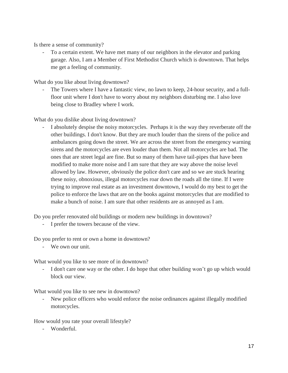Is there a sense of community?

- To a certain extent. We have met many of our neighbors in the elevator and parking garage. Also, I am a Member of First Methodist Church which is downtown. That helps me get a feeling of community.

What do you like about living downtown?

The Towers where I have a fantastic view, no lawn to keep, 24-hour security, and a fullfloor unit where I don't have to worry about my neighbors disturbing me. I also love being close to Bradley where I work.

What do you dislike about living downtown?

- I absolutely despise the noisy motorcycles. Perhaps it is the way they reverberate off the other buildings. I don't know. But they are much louder than the sirens of the police and ambulances going down the street. We are across the street from the emergency warning sirens and the motorcycles are even louder than them. Not all motorcycles are bad. The ones that are street legal are fine. But so many of them have tail-pipes that have been modified to make more noise and I am sure that they are way above the noise level allowed by law. However, obviously the police don't care and so we are stuck hearing these noisy, obnoxious, illegal motorcycles roar down the roads all the time. If I were trying to improve real estate as an investment downtown, I would do my best to get the police to enforce the laws that are on the books against motorcycles that are modified to make a bunch of noise. I am sure that other residents are as annoyed as I am.

Do you prefer renovated old buildings or modern new buildings in downtown?

- I prefer the towers because of the view.

Do you prefer to rent or own a home in downtown?

- We own our unit.

What would you like to see more of in downtown?

- I don't care one way or the other. I do hope that other building won't go up which would block our view.

What would you like to see new in downtown?

- New police officers who would enforce the noise ordinances against illegally modified motorcycles.

How would you rate your overall lifestyle?

- Wonderful.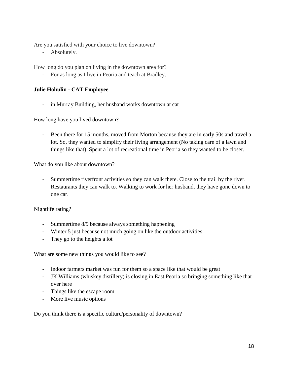Are you satisfied with your choice to live downtown?

- Absolutely.

How long do you plan on living in the downtown area for?

- For as long as I live in Peoria and teach at Bradley.

#### **Julie Hohulin - CAT Employee**

in Murray Building, her husband works downtown at cat

How long have you lived downtown?

Been there for 15 months, moved from Morton because they are in early 50s and travel a lot. So, they wanted to simplify their living arrangement (No taking care of a lawn and things like that). Spent a lot of recreational time in Peoria so they wanted to be closer.

What do you like about downtown?

- Summertime riverfront activities so they can walk there. Close to the trail by the river. Restaurants they can walk to. Walking to work for her husband, they have gone down to one car.

Nightlife rating?

- Summertime 8/9 because always something happening
- Winter 5 just because not much going on like the outdoor activities
- They go to the heights a lot

What are some new things you would like to see?

- Indoor farmers market was fun for them so a space like that would be great
- JK Williams (whiskey distillery) is closing in East Peoria so bringing something like that over here
- Things like the escape room
- More live music options

Do you think there is a specific culture/personality of downtown?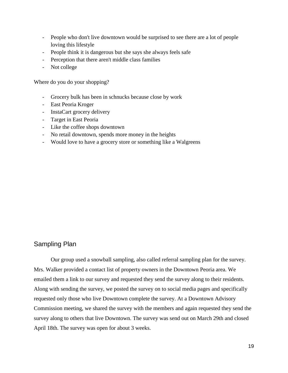- People who don't live downtown would be surprised to see there are a lot of people loving this lifestyle
- People think it is dangerous but she says she always feels safe
- Perception that there aren't middle class families
- Not college

Where do you do your shopping?

- Grocery bulk has been in schnucks because close by work
- East Peoria Kroger
- InstaCart grocery delivery
- Target in East Peoria
- Like the coffee shops downtown
- No retail downtown, spends more money in the heights
- Would love to have a grocery store or something like a Walgreens

# Sampling Plan

Our group used a snowball sampling, also called referral sampling plan for the survey. Mrs. Walker provided a contact list of property owners in the Downtown Peoria area. We emailed them a link to our survey and requested they send the survey along to their residents. Along with sending the survey, we posted the survey on to social media pages and specifically requested only those who live Downtown complete the survey. At a Downtown Advisory Commission meeting, we shared the survey with the members and again requested they send the survey along to others that live Downtown. The survey was send out on March 29th and closed April 18th. The survey was open for about 3 weeks.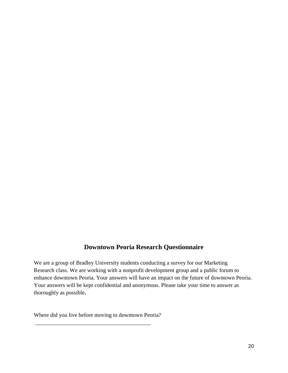# **Downtown Peoria Research Questionnaire**

We are a group of Bradley University students conducting a survey for our Marketing Research class. We are working with a nonprofit development group and a public forum to enhance downtown Peoria. Your answers will have an impact on the future of downtown Peoria. Your answers will be kept confidential and anonymous. Please take your time to answer as thoroughly as possible**.**

Where did you live before moving to downtown Peoria?

\_\_\_\_\_\_\_\_\_\_\_\_\_\_\_\_\_\_\_\_\_\_\_\_\_\_\_\_\_\_\_\_\_\_\_\_\_\_\_\_\_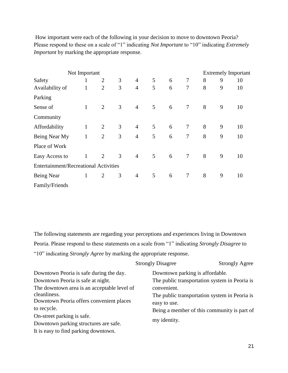How important were each of the following in your decision to move to downtown Peoria? Please respond to these on a scale of "1" indicating *Not Important* to "10" indicating *Extremely Important* by marking the appropriate response.

|                 | Not Important                                |                |   |                |   |   |                |   |   | <b>Extremely Important</b> |  |
|-----------------|----------------------------------------------|----------------|---|----------------|---|---|----------------|---|---|----------------------------|--|
| Safety          | 1                                            | 2              | 3 | $\overline{4}$ | 5 | 6 | $\tau$         | 8 | 9 | 10                         |  |
| Availability of | $\mathbf{1}$                                 | $\overline{2}$ | 3 | $\overline{4}$ | 5 | 6 | $\tau$         | 8 | 9 | 10                         |  |
| Parking         |                                              |                |   |                |   |   |                |   |   |                            |  |
| Sense of        | $\mathbf{1}$                                 | $\overline{2}$ | 3 | $\overline{4}$ | 5 | 6 | $\overline{7}$ | 8 | 9 | 10                         |  |
| Community       |                                              |                |   |                |   |   |                |   |   |                            |  |
| Affordability   | $\mathbf{1}$                                 | $\overline{2}$ | 3 | $\overline{4}$ | 5 | 6 | $\tau$         | 8 | 9 | 10                         |  |
| Being Near My   | $\mathbf{1}$                                 | $\overline{2}$ | 3 | $\overline{4}$ | 5 | 6 | 7              | 8 | 9 | 10                         |  |
| Place of Work   |                                              |                |   |                |   |   |                |   |   |                            |  |
| Easy Access to  | $\mathbf{1}$                                 | 2              | 3 | $\overline{4}$ | 5 | 6 | $\overline{7}$ | 8 | 9 | 10                         |  |
|                 | <b>Entertainment/Recreational Activities</b> |                |   |                |   |   |                |   |   |                            |  |
| Being Near      | $\mathbf{1}$                                 | 2              | 3 | $\overline{4}$ | 5 | 6 | $\tau$         | 8 | 9 | 10                         |  |
| Family/Friends  |                                              |                |   |                |   |   |                |   |   |                            |  |

The following statements are regarding your perceptions and experiences living in Downtown Peoria. Please respond to these statements on a scale from "1" indicating *Strongly Disagree* to "10" indicating *Strongly Agree* by marking the appropriate response.

|                                             | <b>Strongly Disagree</b>        | <b>Strongly Agree</b>                         |
|---------------------------------------------|---------------------------------|-----------------------------------------------|
| Downtown Peoria is safe during the day.     | Downtown parking is affordable. |                                               |
| Downtown Peoria is safe at night.           |                                 | The public transportation system in Peoria is |
| The downtown area is an acceptable level of | convenient.                     |                                               |
| cleanliness.                                |                                 | The public transportation system in Peoria is |
| Downtown Peoria offers convenient places    | easy to use.                    |                                               |
| to recycle.                                 |                                 | Being a member of this community is part of   |
| On-street parking is safe.                  |                                 |                                               |
| Downtown parking structures are safe.       | my identity.                    |                                               |
| It is easy to find parking downtown.        |                                 |                                               |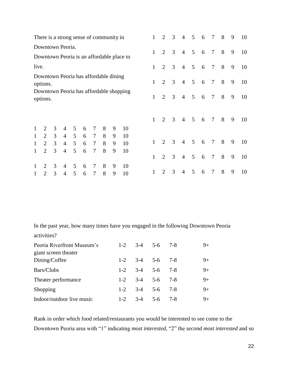|       | There is a strong sense of community in             |   |                |                |   |                |   |   |                                           | 2              | 3                           | $\overline{4}$ | $\overline{5}$ | 6               | $\overline{7}$  | 8               | 9 | 10 |    |
|-------|-----------------------------------------------------|---|----------------|----------------|---|----------------|---|---|-------------------------------------------|----------------|-----------------------------|----------------|----------------|-----------------|-----------------|-----------------|---|----|----|
|       | Downtown Peoria.                                    |   |                |                |   |                |   |   |                                           |                |                             |                |                |                 |                 |                 |   |    |    |
|       |                                                     |   |                |                |   |                |   |   | Downtown Peoria is an affordable place to | $\mathbf{1}$   | 2                           | 3              | $\overline{4}$ | 5 <sup>5</sup>  | 6               | $\overline{7}$  | 8 | 9  | 10 |
| live. |                                                     |   |                |                |   |                |   |   |                                           | $\mathbf{1}$   | 2                           | 3              | $\overline{4}$ | $5\overline{)}$ | 6               | $\overline{7}$  | 8 | 9  | 10 |
|       | Downtown Peoria has affordable dining<br>options.   |   |                |                |   |                |   |   | 1                                         | $\overline{2}$ | 3                           | $\overline{4}$ | 5              | 6               | $\overline{7}$  | 8               | 9 | 10 |    |
|       | Downtown Peoria has affordable shopping<br>options. |   |                |                |   |                |   |   | $\mathbf{1}$                              | $\overline{2}$ | 3                           | $\overline{4}$ | 5 <sup>5</sup> | 6               | $\tau$          | 8               | 9 | 10 |    |
|       |                                                     |   |                |                |   |                |   |   |                                           |                |                             |                |                |                 |                 |                 |   |    |    |
|       |                                                     |   |                |                |   |                |   |   |                                           | $\mathbf{1}$   | $\overline{2}$              | 3              | $\overline{4}$ | $5\overline{)}$ | $6\overline{6}$ | $\overline{7}$  | 8 | 9  | 10 |
|       | 2                                                   | 3 | $\overline{4}$ | 5              | 6 | 7              | 8 | 9 | 10                                        |                |                             |                |                |                 |                 |                 |   |    |    |
|       | 2                                                   | 3 | $\overline{4}$ | $\mathfrak{S}$ | 6 | $\tau$         | 8 | 9 | 10                                        |                |                             |                |                |                 |                 |                 |   |    |    |
|       | $\overline{2}$                                      | 3 | $\overline{4}$ | 5              | 6 | $\tau$         | 8 | 9 | 10                                        | 1              | $\overline{2}$              | 3              | $\overline{4}$ | $\mathfrak{S}$  | $6\overline{6}$ | $\tau$          | 8 | 9  | 10 |
| 1     | $\overline{2}$                                      | 3 | $\overline{4}$ | 5              | 6 | $\overline{7}$ | 8 | 9 | 10                                        | 1              | 2                           | 3              | $\overline{4}$ | 5               | 6               | $7\phantom{.0}$ | 8 | 9  | 10 |
|       | 2                                                   | 3 | 4              | 5              | 6 | 7              | 8 | 9 | 10                                        |                |                             |                |                |                 |                 |                 |   |    |    |
| 1     | $\overline{2}$                                      | 3 | $\overline{4}$ | 5 <sup>5</sup> | 6 | 7              | 8 | 9 | 10                                        | 1              | $\mathcal{D}_{\mathcal{L}}$ | 3              | $\overline{4}$ | 5               | 6               | 7               | 8 | 9  | 10 |

In the past year, how many times have you engaged in the following Downtown Peoria activities?

| Peoria Riverfront Museum's            | $1-2$   |       | $3-4$ 5-6 7-8           |      | $9+$ |
|---------------------------------------|---------|-------|-------------------------|------|------|
| giant screen theater<br>Dining/Coffee |         |       | $1-2$ $3-4$ $5-6$ $7-8$ |      | $9+$ |
| Bars/Clubs                            |         |       | $1-2$ $3-4$ $5-6$ $7-8$ |      | $9+$ |
| Theater performance                   |         |       | $1-2$ $3-4$ $5-6$ $7-8$ |      | $9+$ |
| Shopping                              |         |       | $1-2$ $3-4$ $5-6$ $7-8$ |      | $9+$ |
| Indoor/outdoor live music             | $1 - 2$ | $3-4$ | $5-6$                   | -7-8 | $9+$ |

Rank in order which food related/restaurants you would be interested to see come to the Downtown Peoria area with "1" indicating *most interested*, "2" the *second most interested* and so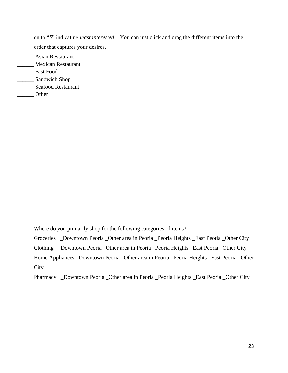on to "5" indicating *least interested*. You can just click and drag the different items into the order that captures your desires.

- \_\_\_\_\_\_ Asian Restaurant \_\_\_\_\_\_ Mexican Restaurant
- \_\_\_\_\_\_ Fast Food
- \_\_\_\_\_\_ Sandwich Shop
- \_\_\_\_\_\_ Seafood Restaurant
- \_\_\_\_\_\_ Other

Where do you primarily shop for the following categories of items?

Groceries \_Downtown Peoria \_Other area in Peoria \_Peoria Heights \_East Peoria \_Other City

Clothing \_Downtown Peoria \_Other area in Peoria \_Peoria Heights \_East Peoria \_Other City

Home Appliances \_Downtown Peoria \_Other area in Peoria \_Peoria Heights \_East Peoria \_Other **City** 

Pharmacy \_Downtown Peoria \_Other area in Peoria \_Peoria Heights \_East Peoria \_Other City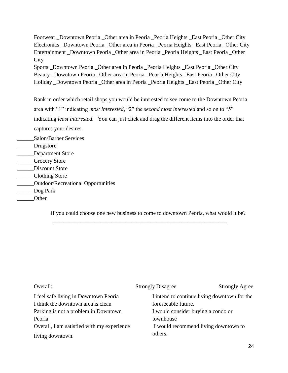Footwear \_Downtown Peoria \_Other area in Peoria \_Peoria Heights \_East Peoria \_Other City Electronics Downtown Peoria Other area in Peoria Peoria Heights East Peoria Other City Entertainment Downtown Peoria Other area in Peoria Peoria Heights East Peoria Other **City** 

Sports \_Downtown Peoria \_Other area in Peoria \_Peoria Heights \_East Peoria \_Other City Beauty \_Downtown Peoria \_Other area in Peoria \_Peoria Heights \_East Peoria \_Other City Holiday \_Downtown Peoria \_Other area in Peoria \_Peoria Heights \_East Peoria \_Other City

Rank in order which retail shops you would be interested to see come to the Downtown Peoria area with "1" indicating *most interested*, "2" the *second most interested* and so on to "5" indicating *least interested*. You can just click and drag the different items into the order that captures your desires.

\_\_\_\_\_\_Salon/Barber Services

- \_\_\_\_\_\_Drugstore
- \_\_\_\_\_\_Department Store
- \_\_\_\_\_\_Grocery Store
- \_\_\_\_\_\_Discount Store
- \_\_\_\_\_\_Clothing Store
- \_\_\_\_\_\_Outdoor/Recreational Opportunities
- \_\_\_\_\_\_Dog Park
- \_\_\_\_\_\_Other

If you could choose one new business to come to downtown Peoria, what would it be?

\_\_\_\_\_\_\_\_\_\_\_\_\_\_\_\_\_\_\_\_\_\_\_\_\_\_\_\_\_\_\_\_\_\_\_\_\_\_\_\_\_\_\_\_\_\_\_\_\_\_\_\_\_\_\_\_\_\_\_\_\_\_

| Overall:                                   | <b>Strongly Disagree</b>             | <b>Strongly Agree</b>                        |
|--------------------------------------------|--------------------------------------|----------------------------------------------|
| I feel safe living in Downtown Peoria      |                                      | I intend to continue living downtown for the |
| I think the downtown area is clean         | foreseeable future.                  |                                              |
| Parking is not a problem in Downtown       | I would consider buying a condo or   |                                              |
| Peoria                                     | townhouse                            |                                              |
| Overall, I am satisfied with my experience | I would recommend living downtown to |                                              |
| living downtown.                           | others.                              |                                              |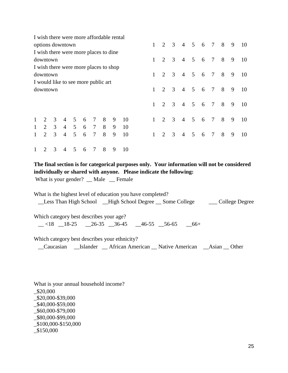| I wish there were more affordable rental |                         |                |                |   |            |   |   |    |              |                             |                         |                |     |         |                |                |   |    |
|------------------------------------------|-------------------------|----------------|----------------|---|------------|---|---|----|--------------|-----------------------------|-------------------------|----------------|-----|---------|----------------|----------------|---|----|
| options downtown                         |                         |                |                |   |            |   |   |    |              | $\overline{2}$              | $\overline{\mathbf{3}}$ | $\overline{4}$ |     | 5 6 7 8 |                |                | 9 | 10 |
| I wish there were more places to dine    |                         |                |                |   |            |   |   |    |              |                             |                         |                |     |         |                |                |   |    |
| downtown                                 |                         |                |                |   |            |   |   |    | $\mathbf{1}$ | 2                           | $\overline{3}$          | $\overline{4}$ | 5 6 |         | 7 8            |                | 9 | 10 |
| I wish there were more places to shop    |                         |                |                |   |            |   |   |    |              |                             |                         |                |     |         |                |                |   |    |
| downtown                                 |                         |                |                |   |            |   |   |    | $1 \quad$    | 2                           | $\overline{\mathbf{3}}$ | $\overline{4}$ | 5 6 |         | 7 8            |                | 9 | 10 |
| I would like to see more public art      |                         |                |                |   |            |   |   |    |              |                             |                         |                |     |         |                |                |   |    |
| downtown                                 |                         |                |                |   |            |   |   |    | $\mathbf{1}$ | $\overline{2}$              | $\overline{3}$          | $\overline{4}$ | 5 6 |         | $\overline{7}$ | 8 <sup>8</sup> | 9 | 10 |
|                                          |                         |                |                |   |            |   |   |    |              |                             |                         |                |     |         |                |                |   |    |
|                                          |                         |                |                |   |            |   |   |    | $\mathbf{1}$ | $\overline{2}$              | $\overline{\mathbf{3}}$ | $\overline{4}$ |     | 5 6 7 8 |                |                | 9 | 10 |
|                                          |                         |                |                |   |            |   |   |    |              |                             |                         |                |     |         |                |                |   |    |
| $\overline{2}$                           |                         | 3 4 5          |                | 6 | $\tau$     | 8 | 9 | 10 |              | 2                           | $\overline{3}$          | $\overline{4}$ | 5 6 |         | $\overline{7}$ | 8 <sup>8</sup> | 9 | 10 |
| 2                                        | $\overline{\mathbf{3}}$ |                | $4\quad 5$     | 6 | $7\degree$ | 8 | 9 | 10 |              |                             |                         |                |     |         |                |                |   |    |
| $\overline{2}$                           | 3                       | $\overline{4}$ | 5 <sup>5</sup> | 6 | $\tau$     | 8 | 9 | 10 |              | $\mathcal{D}_{\mathcal{L}}$ | $\overline{3}$          | $\overline{4}$ | 5 6 |         | 7 8            |                | 9 | 10 |
|                                          |                         |                |                |   |            |   |   |    |              |                             |                         |                |     |         |                |                |   |    |
| 2                                        | $3 \quad 4$             |                | 5 6            |   | 7 8        |   | 9 | 10 |              |                             |                         |                |     |         |                |                |   |    |

**The final section is for categorical purposes only. Your information will not be considered individually or shared with anyone. Please indicate the following:**

What is your gender? \_\_ Male \_\_ Female

What is the highest level of education you have completed? \_\_Less Than High School \_\_High School Degree \_\_ Some College \_\_\_ College Degree

Which category best describes your age?

 $-$  <18  $-$ 18-25  $-$ 26-35  $-$ 36-45  $-$ 46-55  $-$ 56-65  $-$ 66+

Which category best describes your ethnicity?

\_\_Caucasian \_\_Islander \_\_ African American \_\_ Native American \_\_Asian \_\_ Other

What is your annual household income? \_\$20,000 \_\$20,000-\$39,000 \_\$40,000-\$59,000 \_\$60,000-\$79,000 \_\$80,000-\$99,000 \_\$100,000-\$150,000 \_\$150,000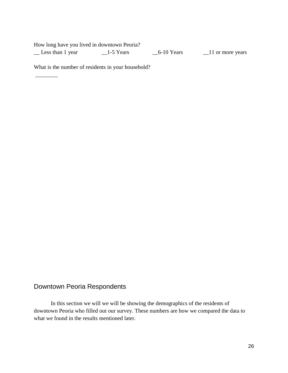| How long have you lived in downtown Peoria? |           |            |                           |
|---------------------------------------------|-----------|------------|---------------------------|
| Less than 1 year                            | 1-5 Years | 6-10 Years | $\angle$ 11 or more years |

What is the number of residents in your household?

\_\_\_\_\_\_\_\_

# Downtown Peoria Respondents

In this section we will we will be showing the demographics of the residents of downtown Peoria who filled out our survey. These numbers are how we compared the data to what we found in the results mentioned later.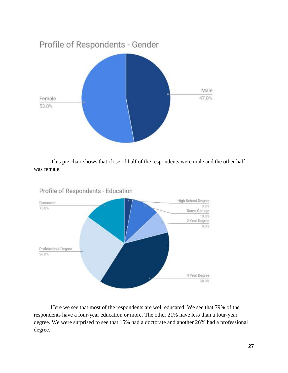

This pie chart shows that close of half of the respondents were male and the other half was female.



Profile of Respondents - Education

Here we see that most of the respondents are well educated. We see that 79% of the respondents have a four-year education or more. The other 21% have less than a four-year degree. We were surprised to see that 15% had a doctorate and another 26% had a professional degree.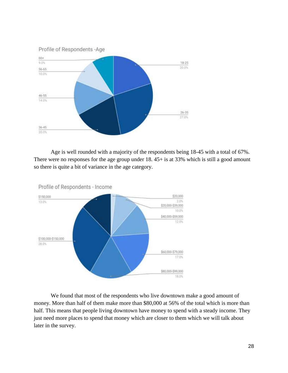

Age is well rounded with a majority of the respondents being 18-45 with a total of 67%. There were no responses for the age group under 18. 45+ is at 33% which is still a good amount so there is quite a bit of variance in the age category.



We found that most of the respondents who live downtown make a good amount of money. More than half of them make more than \$80,000 at 56% of the total which is more than half. This means that people living downtown have money to spend with a steady income. They just need more places to spend that money which are closer to them which we will talk about later in the survey.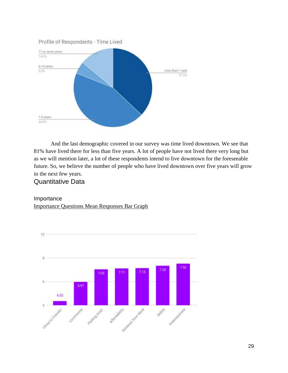

And the last demographic covered in our survey was time lived downtown. We see that 81% have lived there for less than five years. A lot of people have not lived there very long but as we will mention later, a lot of these respondents intend to live downtown for the foreseeable future. So, we believe the number of people who have lived downtown over five years will grow in the next few years.

# Quantitative Data

### Importance Importance Questions Mean Responses Bar Graph

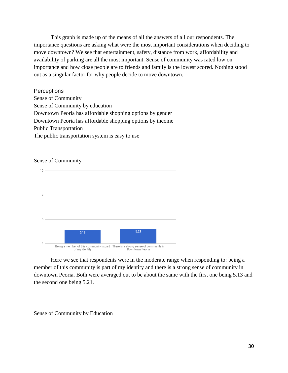This graph is made up of the means of all the answers of all our respondents. The importance questions are asking what were the most important considerations when deciding to move downtown? We see that entertainment, safety, distance from work, affordability and availability of parking are all the most important. Sense of community was rated low on importance and how close people are to friends and family is the lowest scored. Nothing stood out as a singular factor for why people decide to move downtown.

**Perceptions** Sense of Community

Sense of Community by education Downtown Peoria has affordable shopping options by gender Downtown Peoria has affordable shopping options by income Public Transportation The public transportation system is easy to use

#### Sense of Community



Here we see that respondents were in the moderate range when responding to: being a member of this community is part of my identity and there is a strong sense of community in downtown Peoria. Both were averaged out to be about the same with the first one being 5.13 and the second one being 5.21.

#### Sense of Community by Education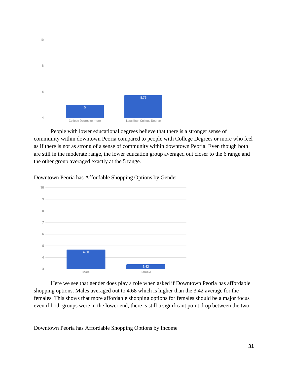

People with lower educational degrees believe that there is a stronger sense of community within downtown Peoria compared to people with College Degrees or more who feel as if there is not as strong of a sense of community within downtown Peoria. Even though both are still in the moderate range, the lower education group averaged out closer to the 6 range and the other group averaged exactly at the 5 range.

Downtown Peoria has Affordable Shopping Options by Gender



Here we see that gender does play a role when asked if Downtown Peoria has affordable shopping options. Males averaged out to 4.68 which is higher than the 3.42 average for the females. This shows that more affordable shopping options for females should be a major focus even if both groups were in the lower end, there is still a significant point drop between the two.

Downtown Peoria has Affordable Shopping Options by Income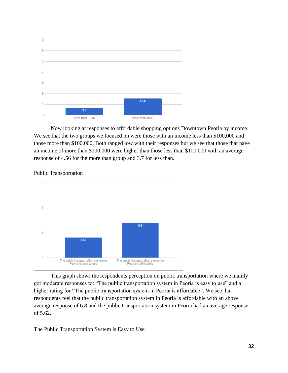

Now looking at responses to affordable shopping options Downtown Peoria by income. We see that the two groups we focused on were those with an income less than \$100,000 and those more than \$100,000. Both ranged low with their responses but we see that those that have an income of more than \$100,000 were higher than those less than \$100,000 with an average response of 4.56 for the more than group and 3.7 for less than.



Public Transportation

This graph shows the respondents perception on public transportation where we mainly got moderate responses to: "The public transportation system in Peoria is easy to use" and a higher rating for "The public transportation system in Peoria is affordable". We see that respondents feel that the public transportation system in Peoria is affordable with an above average response of 6.8 and the public transportation system in Peoria had an average response of 5.62.

The Public Transportation System is Easy to Use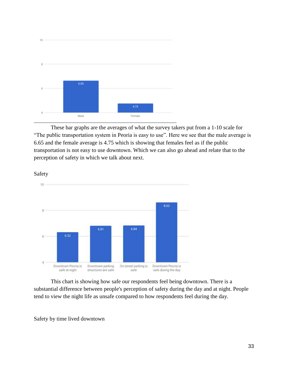

These bar graphs are the averages of what the survey takers put from a 1-10 scale for "The public transportation system in Peoria is easy to use". Here we see that the male average is 6.65 and the female average is 4.75 which is showing that females feel as if the public transportation is not easy to use downtown. Which we can also go ahead and relate that to the perception of safety in which we talk about next.



Safety

This chart is showing how safe our respondents feel being downtown. There is a substantial difference between people's perception of safety during the day and at night. People tend to view the night life as unsafe compared to how respondents feel during the day.

Safety by time lived downtown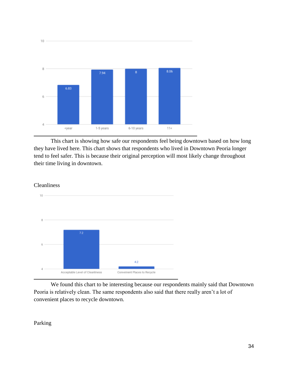

This chart is showing how safe our respondents feel being downtown based on how long they have lived here. This chart shows that respondents who lived in Downtown Peoria longer tend to feel safer. This is because their original perception will most likely change throughout their time living in downtown.



We found this chart to be interesting because our respondents mainly said that Downtown Peoria is relatively clean. The same respondents also said that there really aren't a lot of convenient places to recycle downtown.

Parking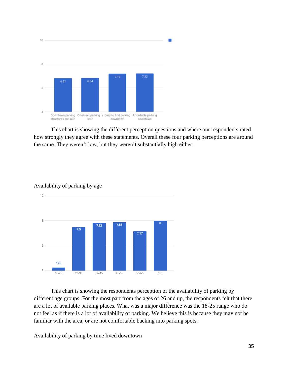

This chart is showing the different perception questions and where our respondents rated how strongly they agree with these statements. Overall these four parking perceptions are around the same. They weren't low, but they weren't substantially high either.

#### Availability of parking by age

 $10<sup>1</sup>$ 



This chart is showing the respondents perception of the availability of parking by different age groups. For the most part from the ages of 26 and up, the respondents felt that there are a lot of available parking places. What was a major difference was the 18-25 range who do not feel as if there is a lot of availability of parking. We believe this is because they may not be familiar with the area, or are not comfortable backing into parking spots.

Availability of parking by time lived downtown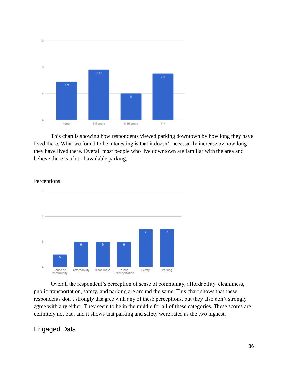

This chart is showing how respondents viewed parking downtown by how long they have lived there. What we found to be interesting is that it doesn't necessarily increase by how long they have lived there. Overall most people who live downtown are familiar with the area and believe there is a lot of available parking.



#### Perceptions

Overall the respondent's perception of sense of community, affordability, cleanliness, public transportation, safety, and parking are around the same. This chart shows that these respondents don't strongly disagree with any of these perceptions, but they also don't strongly agree with any either. They seem to be in the middle for all of these categories. These scores are definitely not bad, and it shows that parking and safety were rated as the two highest.

# Engaged Data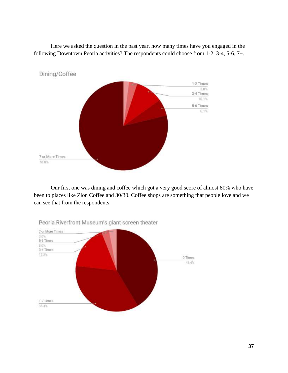Here we asked the question in the past year, how many times have you engaged in the following Downtown Peoria activities? The respondents could choose from 1-2, 3-4, 5-6, 7+.



Our first one was dining and coffee which got a very good score of almost 80% who have been to places like Zion Coffee and 30/30. Coffee shops are something that people love and we can see that from the respondents.



Peoria Riverfront Museum's giant screen theater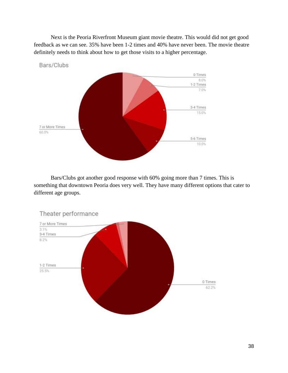Next is the Peoria Riverfront Museum giant movie theatre. This would did not get good feedback as we can see. 35% have been 1-2 times and 40% have never been. The movie theatre definitely needs to think about how to get those visits to a higher percentage.



Bars/Clubs got another good response with 60% going more than 7 times. This is something that downtown Peoria does very well. They have many different options that cater to different age groups.

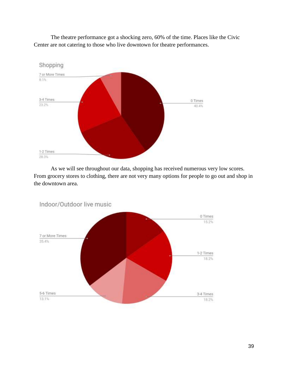The theatre performance got a shocking zero, 60% of the time. Places like the Civic Center are not catering to those who live downtown for theatre performances.



As we will see throughout our data, shopping has received numerous very low scores. From grocery stores to clothing, there are not very many options for people to go out and shop in the downtown area.



Indoor/Outdoor live music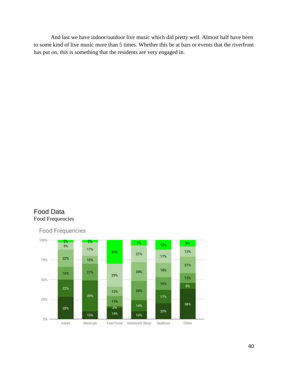And last we have indoor/outdoor live music which did pretty well. Almost half have been to some kind of live music more than 5 times. Whether this be at bars or events that the riverfront has put on, this is something that the residents are very engaged in.

# Food Data Food Frequencies

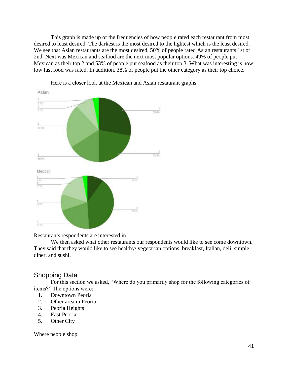This graph is made up of the frequencies of how people rated each restaurant from most desired to least desired. The darkest is the most desired to the lightest which is the least desired. We see that Asian restaurants are the most desired. 50% of people rated Asian restaurants 1st or 2nd. Next was Mexican and seafood are the next most popular options. 49% of people put Mexican as their top 2 and 53% of people put seafood as their top 3. What was interesting is how low fast food was rated. In addition, 38% of people put the other category as their top choice.



Here is a closer look at the Mexican and Asian restaurant graphs:

Restaurants respondents are interested in

We then asked what other restaurants our respondents would like to see come downtown. They said that they would like to see healthy/ vegetarian options, breakfast, Italian, deli, simple diner, and sushi.

# Shopping Data

For this section we asked, "Where do you primarily shop for the following categories of items?" The options were:

- 1. Downtown Peoria
- 2. Other area in Peoria
- 3. Peoria Heights
- 4. East Peoria
- 5. Other City

Where people shop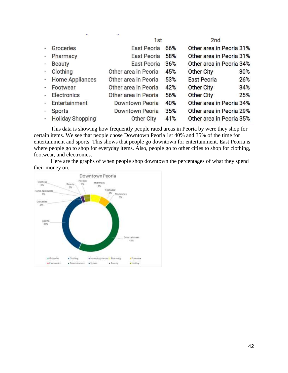|                          |                    | 1 <sub>st</sub>        |     | 2 <sub>nd</sub>          |     |
|--------------------------|--------------------|------------------------|-----|--------------------------|-----|
|                          | Groceries          | East Peoria            | 66% | Other area in Peoria 31% |     |
| $\sim$                   | Pharmacy           | East Peoria            | 58% | Other area in Peoria 31% |     |
| $\overline{\mathcal{D}}$ | <b>Beauty</b>      | <b>East Peoria</b>     | 36% | Other area in Peoria 34% |     |
| $\equiv$                 | Clothing           | Other area in Peoria   | 45% | <b>Other City</b>        | 30% |
|                          | - Home Appliances  | Other area in Peoria   | 53% | <b>East Peoria</b>       | 26% |
|                          | Footwear           | Other area in Peoria   | 42% | <b>Other City</b>        | 34% |
| $\overline{a}$           | Electronics        | Other area in Peoria   | 56% | <b>Other City</b>        | 25% |
|                          | Entertainment      | <b>Downtown Peoria</b> | 40% | Other area in Peoria 34% |     |
|                          | Sports             | Downtown Peoria        | 35% | Other area in Peoria 29% |     |
|                          | - Holiday Shopping | <b>Other City</b>      | 41% | Other area in Peoria 35% |     |

This data is showing how frequently people rated areas in Peoria by were they shop for certain items. We see that people chose Downtown Peoria 1st 40% and 35% of the time for entertainment and sports. This shows that people go downtown for entertainment. East Peoria is where people go to shop for everyday items. Also, people go to other cities to shop for clothing, footwear, and electronics.

Here are the graphs of when people shop downtown the percentages of what they spend their money on.

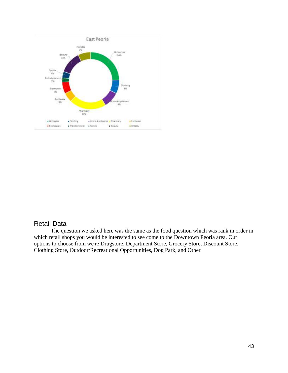

# Retail Data

The question we asked here was the same as the food question which was rank in order in which retail shops you would be interested to see come to the Downtown Peoria area. Our options to choose from we're Drugstore, Department Store, Grocery Store, Discount Store, Clothing Store, Outdoor/Recreational Opportunities, Dog Park, and Other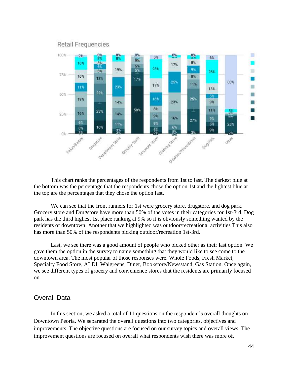

#### **Retail Frequencies**

This chart ranks the percentages of the respondents from 1st to last. The darkest blue at the bottom was the percentage that the respondents chose the option 1st and the lightest blue at the top are the percentages that they chose the option last.

We can see that the front runners for 1st were grocery store, drugstore, and dog park. Grocery store and Drugstore have more than 50% of the votes in their categories for 1st-3rd. Dog park has the third highest 1st place ranking at 9% so it is obviously something wanted by the residents of downtown. Another that we highlighted was outdoor/recreational activities This also has more than 50% of the respondents picking outdoor/recreation 1st-3rd.

Last, we see there was a good amount of people who picked other as their last option. We gave them the option in the survey to name something that they would like to see come to the downtown area. The most popular of those responses were. Whole Foods, Fresh Market, Specialty Food Store, ALDI, Walgreens, Diner, Bookstore/Newsstand, Gas Station. Once again, we see different types of grocery and convenience stores that the residents are primarily focused on.

#### Overall Data

In this section, we asked a total of 11 questions on the respondent's overall thoughts on Downtown Peoria. We separated the overall questions into two categories, objectives and improvements. The objective questions are focused on our survey topics and overall views. The improvement questions are focused on overall what respondents wish there was more of.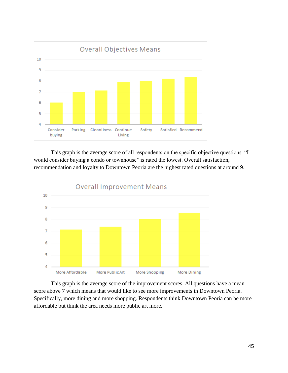

This graph is the average score of all respondents on the specific objective questions. "I would consider buying a condo or townhouse" is rated the lowest. Overall satisfaction, recommendation and loyalty to Downtown Peoria are the highest rated questions at around 9.



This graph is the average score of the improvement scores. All questions have a mean score above 7 which means that would like to see more improvements in Downtown Peoria. Specifically, more dining and more shopping. Respondents think Downtown Peoria can be more affordable but think the area needs more public art more.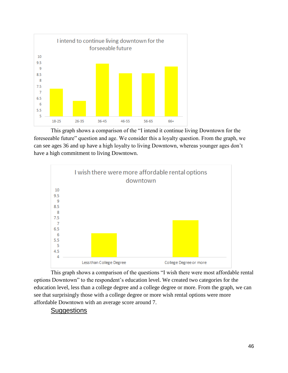

This graph shows a comparison of the "I intend it continue living Downtown for the foreseeable future" question and age. We consider this a loyalty question. From the graph, we can see ages 36 and up have a high loyalty to living Downtown, whereas younger ages don't have a high commitment to living Downtown.



This graph shows a comparison of the questions "I wish there were most affordable rental options Downtown" to the respondent's education level. We created two categories for the education level, less than a college degree and a college degree or more. From the graph, we can see that surprisingly those with a college degree or more wish rental options were more affordable Downtown with an average score around 7.

# **Suggestions**